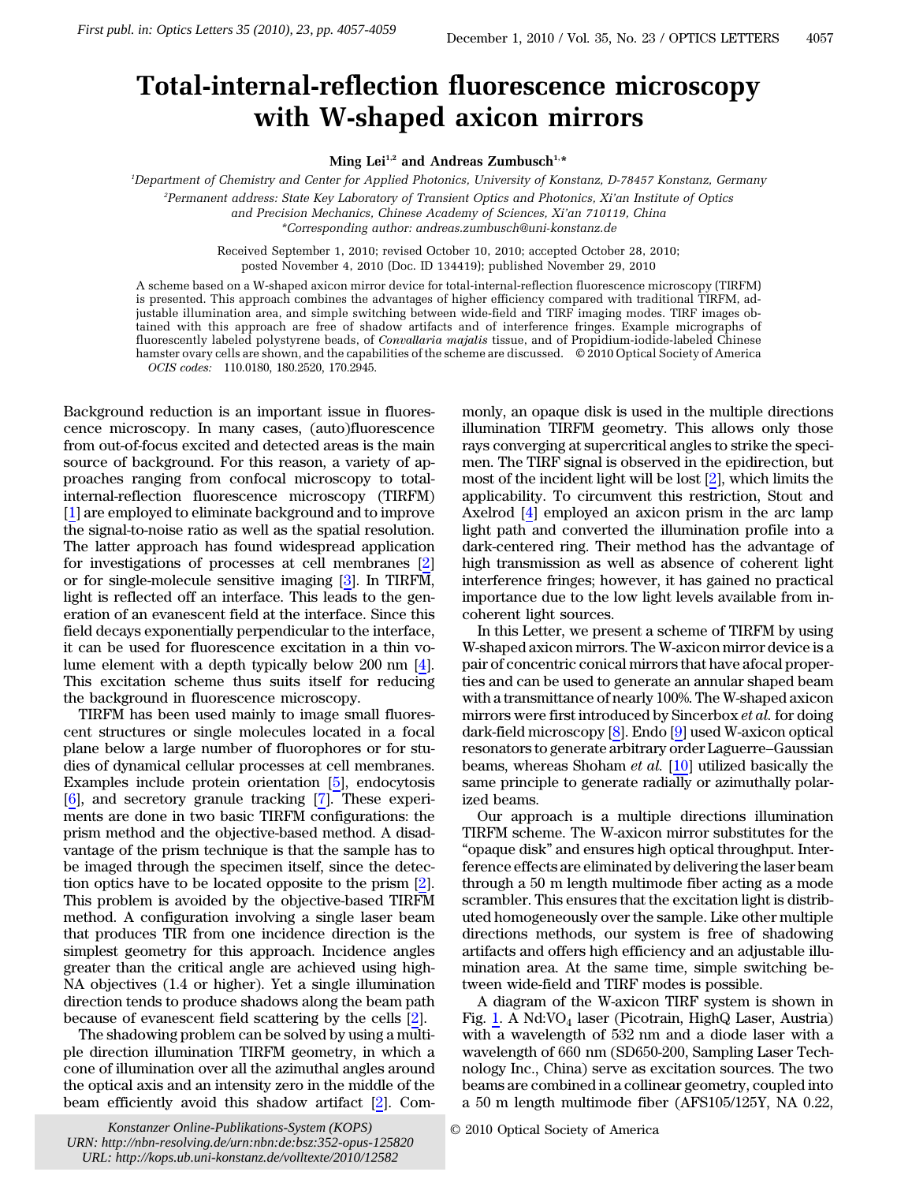## Total-internal-reflection fluorescence microscopy with W-shaped axicon mirrors

Ming Lei<sup>1,2</sup> and Andreas Zumbusch<sup>1,\*</sup>

1 Department of Chemistry and Center for Applied Photonics, University of Konstanz, D-78457 Konstanz, Germany 2 Permanent address: State Key Laboratory of Transient Optics and Photonics, Xi'an Institute of Optics and Precision Mechanics, Chinese Academy of Sciences, Xi'an 710119, China \*Corresponding author: andreas.zumbusch@uni‑konstanz.de

> Received September 1, 2010; revised October 10, 2010; accepted October 28, 2010; posted November 4, 2010 (Doc. ID 134419); published November 29, 2010

A scheme based on a W-shaped axicon mirror device for total-internal-reflection fluorescence microscopy (TIRFM) is presented. This approach combines the advantages of higher efficiency compared with traditional TIRFM, adjustable illumination area, and simple switching between wide-field and TIRF imaging modes. TIRF images obtained with this approach are free of shadow artifacts and of interference fringes. Example micrographs of fluorescently labeled polystyrene beads, of Convallaria majalis tissue, and of Propidium-iodide-labeled Chinese hamster ovary cells are shown, and the capabilities of the scheme are discussed. © 2010 Optical Society of America OCIS codes: 110.0180, 180.2520, 170.2945.

Background reduction is an important issue in fluorescence microscopy. In many cases, (auto)fluorescence from out-of-focus excited and detected areas is the main source of background. For this reason, a variety of approaches ranging from confocal microscopy to totalinternal-reflection fluorescence microscopy (TIRFM) [\[1](#page-2-0)] are employed to eliminate background and to improve the signal-to-noise ratio as well as the spatial resolution. The latter approach has found widespread application for investigations of processes at cell membranes [[2\]](#page-2-1) or for single-molecule sensitive imaging [3]. In TIRFM, light is reflected off an interface. This leads to the generation of an evanescent field at the interface. Since this field decays exponentially perpendicular to the interface, it can be used for fluorescence excitation in a thin volume element with a depth typically below 200 nm [\[4](#page-2-3)]. This excitation scheme thus suits itself for reducing the background in fluorescence microscopy.

TIRFM has been used mainly to image small fluorescent structures or single molecules located in a focal plane below a large number of fluorophores or for studies of dynamical cellular processes at cell membranes. Examples include protein orientation [5], endocytosis [\[6](#page-2-5)], and secretory granule tracking [7]. These experiments are done in two basic TIRFM configurations: the prism method and the objective-based method. A disadvantage of the prism technique is that the sample has to be imaged through the specimen itself, since the detection optics have to be located opposite to the prism [\[2](#page-2-1)]. This problem is avoided by the objective-based TIRFM method. A configuration involving a single laser beam that produces TIR from one incidence direction is the simplest geometry for this approach. Incidence angles greater than the critical angle are achieved using high-NA objectives (1.4 or higher). Yet a single illumination direction tends to produce shadows along the beam path because of evanescent field scattering by the cells [\[2](#page-2-1)]. *First publ. in: Optics Letters 35 (2010), 23, pp. 4057-4059 Mag* Letters **With W-sha <br>** *Forgantment of Chemistry and Center for Applications-System and also State Konstanzer of Chemistry and Center for Applications-*

The shadowing problem can be solved by using a multiple direction illumination TIRFM geometry, in which a cone of illumination over all the azimuthal angles around the optical axis and an intensity zero in the middle of the beam efficiently avoid this shadow artifact [2]. Com-

Konstanzer Online-Publikations-System (KOPS) © 2010 Optical Society of America *URN:<http://nbn-resolving.de/urn:nbn:de:bsz:352-opus-125820> URL:<http://kops.ub.uni-konstanz.de/volltexte/2010/12582>*

monly, an opaque disk is used in the multiple directions illumination TIRFM geometry. This allows only those rays converging at supercritical angles to strike the specimen. The TIRF signal is observed in the epidirection, but most of the incident light will be lost [[2\]](#page-2-1), which limits the applicability. To circumvent this restriction, Stout and Axelrod [\[4](#page-2-3)] employed an axicon prism in the arc lamp light path and converted the illumination profile into a dark-centered ring. Their method has the advantage of high transmission as well as absence of coherent light interference fringes; however, it has gained no practical importance due to the low light levels available from incoherent light sources.

In this Letter, we present a scheme of TIRFM by using W-shaped axicon mirrors. The W-axicon mirror device is a pair of concentric conical mirrors that have afocal properties and can be used to generate an annular shaped beam with a transmittance of nearly 100%. The W-shaped axicon mirrors were first introduced by Sincerbox et al. for doing dark-field microscopy [[8\]](#page-2-7). Endo [[9\]](#page-2-8) used W-axicon optical resonators to generate arbitrary order Laguerre–Gaussian beams, whereas Shoham et al. [[10\]](#page-2-9) utilized basically the same principle to generate radially or azimuthally polarized beams.

Our approach is a multiple directions illumination TIRFM scheme. The W-axicon mirror substitutes for the "opaque disk" and ensures high optical throughput. Interference effects are eliminated by delivering the laser beam through a 50 m length multimode fiber acting as a mode scrambler. This ensures that the excitation light is distributed homogeneously over the sample. Like other multiple directions methods, our system is free of shadowing artifacts and offers high efficiency and an adjustable illumination area. At the same time, simple switching between wide-field and TIRF modes is possible.

A diagram of the W-axicon TIRF system is shown in Fig. [1.](#page-1-0) A Nd:VO<sup>4</sup> laser (Picotrain, HighQ Laser, Austria) with a wavelength of 532 nm and a diode laser with a wavelength of 660 nm (SD650-200, Sampling Laser Technology Inc., China) serve as excitation sources. The two beams are combined in a collinear geometry, coupled into a 50 m length multimode fiber (AFS105/125Y, NA 0.22,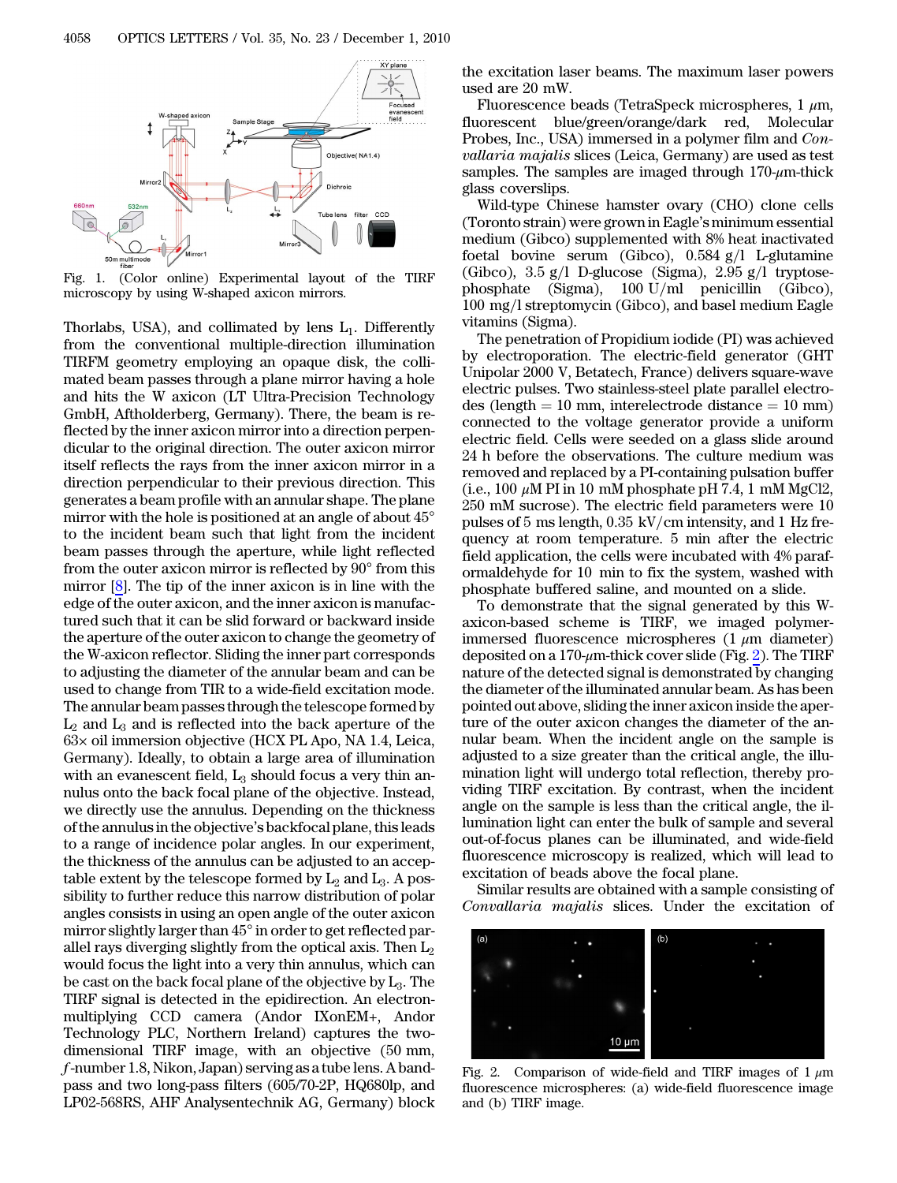<span id="page-1-0"></span>

Fig. 1. (Color online) Experimental layout of the TIRF microscopy by using W-shaped axicon mirrors.

Thorlabs, USA), and collimated by lens  $L_1$ . Differently from the conventional multiple-direction illumination TIRFM geometry employing an opaque disk, the collimated beam passes through a plane mirror having a hole and hits the W axicon (LT Ultra-Precision Technology GmbH, Aftholderberg, Germany). There, the beam is reflected by the inner axicon mirror into a direction perpendicular to the original direction. The outer axicon mirror itself reflects the rays from the inner axicon mirror in a direction perpendicular to their previous direction. This generates a beam profile with an annular shape. The plane mirror with the hole is positioned at an angle of about 45° to the incident beam such that light from the incident beam passes through the aperture, while light reflected from the outer axicon mirror is reflected by 90° from this mirror [\[8](#page-2-7)]. The tip of the inner axicon is in line with the edge of the outer axicon, and the inner axicon is manufactured such that it can be slid forward or backward inside the aperture of the outer axicon to change the geometry of the W-axicon reflector. Sliding the inner part corresponds to adjusting the diameter of the annular beam and can be used to change from TIR to a wide-field excitation mode. The annular beam passes through the telescope formed by  $L_2$  and  $L_3$  and is reflected into the back aperture of the 63× oil immersion objective (HCX PL Apo, NA 1.4, Leica, Germany). Ideally, to obtain a large area of illumination with an evanescent field,  $L_3$  should focus a very thin annulus onto the back focal plane of the objective. Instead, we directly use the annulus. Depending on the thickness of the annulus in the objective's backfocal plane, this leads to a range of incidence polar angles. In our experiment, the thickness of the annulus can be adjusted to an acceptable extent by the telescope formed by  $L_2$  and  $L_3$ . A possibility to further reduce this narrow distribution of polar angles consists in using an open angle of the outer axicon mirror slightly larger than 45° in order to get reflected parallel rays diverging slightly from the optical axis. Then  $L_2$ would focus the light into a very thin annulus, which can be cast on the back focal plane of the objective by  $L_3$ . The TIRF signal is detected in the epidirection. An electronmultiplying CCD camera (Andor IXonEM+, Andor Technology PLC, Northern Ireland) captures the twodimensional TIRF image, with an objective (50 mm, f-number 1.8, Nikon, Japan) serving as a tube lens. A bandpass and two long-pass filters (605/70-2P, HQ680lp, and LP02-568RS, AHF Analysentechnik AG, Germany) block

the excitation laser beams. The maximum laser powers used are 20 mW.

Fluorescence beads (TetraSpeck microspheres,  $1 \mu m$ , fluorescent blue/green/orange/dark red, Molecular Probes, Inc., USA) immersed in a polymer film and Convallaria majalis slices (Leica, Germany) are used as test samples. The samples are imaged through  $170-\mu$ m-thick glass coverslips.

Wild-type Chinese hamster ovary (CHO) clone cells (Toronto strain) were grown in Eagle's minimum essential medium (Gibco) supplemented with 8% heat inactivated foetal bovine serum (Gibco),  $0.584$  g/l L-glutamine (Gibco),  $3.5 \text{ g/l}$  D-glucose (Sigma),  $2.95 \text{ g/l}$  tryptosephosphate (Sigma),  $100 \text{ U/ml}$  penicillin (Gibco),  $100 \text{ mg/l}$  streptomycin (Gibco), and basel medium Eagle vitamins (Sigma).

The penetration of Propidium iodide (PI) was achieved by electroporation. The electric-field generator (GHT Unipolar 2000 V, Betatech, France) delivers square-wave electric pulses. Two stainless-steel plate parallel electro $des$  (length = 10 mm, interelectrode distance = 10 mm) connected to the voltage generator provide a uniform electric field. Cells were seeded on a glass slide around 24 h before the observations. The culture medium was removed and replaced by a PI-containing pulsation buffer (i.e., 100  $\mu$ M PI in 10 mM phosphate pH 7.4, 1 mM MgCl2, 250 mM sucrose). The electric field parameters were 10 pulses of 5 ms length,  $0.35$  kV/cm intensity, and 1 Hz frequency at room temperature. 5 min after the electric field application, the cells were incubated with 4% paraformaldehyde for 10 min to fix the system, washed with phosphate buffered saline, and mounted on a slide.

To demonstrate that the signal generated by this Waxicon-based scheme is TIRF, we imaged polymerimmersed fluorescence microspheres  $(1 \mu m)$  diameter) deposited on a 170- $\mu$ m-thick cover slide (Fig. [2](#page-1-1)). The TIRF nature of the detected signal is demonstrated by changing the diameter of the illuminated annular beam. As has been pointed out above, sliding the inner axicon inside the aperture of the outer axicon changes the diameter of the annular beam. When the incident angle on the sample is adjusted to a size greater than the critical angle, the illumination light will undergo total reflection, thereby providing TIRF excitation. By contrast, when the incident angle on the sample is less than the critical angle, the illumination light can enter the bulk of sample and several out-of-focus planes can be illuminated, and wide-field fluorescence microscopy is realized, which will lead to excitation of beads above the focal plane.

Similar results are obtained with a sample consisting of Convallaria majalis slices. Under the excitation of

<span id="page-1-1"></span>

<span id="page-1-2"></span>Fig. 2. Comparison of wide-field and TIRF images of 1  $\mu$ m fluorescence microspheres: (a) wide-field fluorescence image and (b) TIRF image.